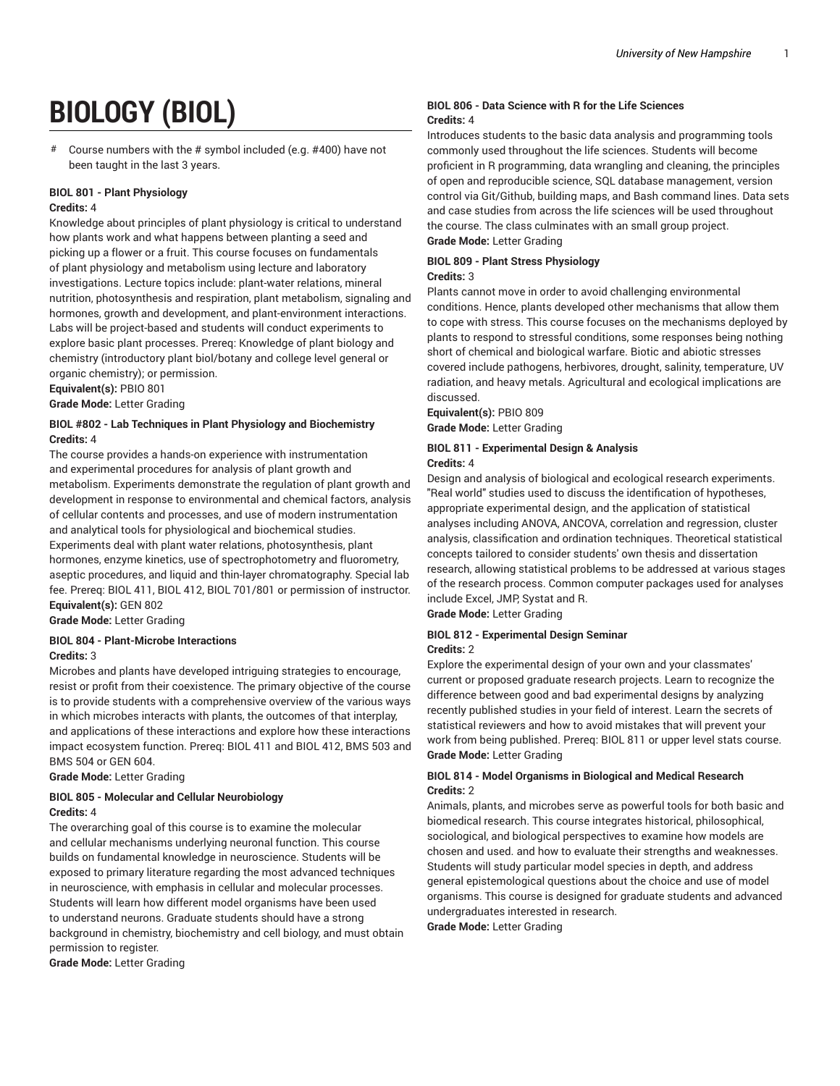# **BIOLOGY (BIOL)**

# Course numbers with the # symbol included (e.g. #400) have not been taught in the last 3 years.

## **BIOL 801 - Plant Physiology**

## **Credits:** 4

Knowledge about principles of plant physiology is critical to understand how plants work and what happens between planting a seed and picking up a flower or a fruit. This course focuses on fundamentals of plant physiology and metabolism using lecture and laboratory investigations. Lecture topics include: plant-water relations, mineral nutrition, photosynthesis and respiration, plant metabolism, signaling and hormones, growth and development, and plant-environment interactions. Labs will be project-based and students will conduct experiments to explore basic plant processes. Prereq: Knowledge of plant biology and chemistry (introductory plant biol/botany and college level general or organic chemistry); or permission.

**Equivalent(s):** PBIO 801 **Grade Mode:** Letter Grading

## **BIOL #802 - Lab Techniques in Plant Physiology and Biochemistry Credits:** 4

The course provides a hands-on experience with instrumentation and experimental procedures for analysis of plant growth and metabolism. Experiments demonstrate the regulation of plant growth and development in response to environmental and chemical factors, analysis of cellular contents and processes, and use of modern instrumentation and analytical tools for physiological and biochemical studies. Experiments deal with plant water relations, photosynthesis, plant hormones, enzyme kinetics, use of spectrophotometry and fluorometry, aseptic procedures, and liquid and thin-layer chromatography. Special lab fee. Prereq: BIOL 411, BIOL 412, BIOL 701/801 or permission of instructor. **Equivalent(s):** GEN 802

**Grade Mode:** Letter Grading

## **BIOL 804 - Plant-Microbe Interactions**

## **Credits:** 3

Microbes and plants have developed intriguing strategies to encourage, resist or profit from their coexistence. The primary objective of the course is to provide students with a comprehensive overview of the various ways in which microbes interacts with plants, the outcomes of that interplay, and applications of these interactions and explore how these interactions impact ecosystem function. Prereq: BIOL 411 and BIOL 412, BMS 503 and BMS 504 or GEN 604.

**Grade Mode:** Letter Grading

## **BIOL 805 - Molecular and Cellular Neurobiology Credits:** 4

The overarching goal of this course is to examine the molecular and cellular mechanisms underlying neuronal function. This course builds on fundamental knowledge in neuroscience. Students will be exposed to primary literature regarding the most advanced techniques in neuroscience, with emphasis in cellular and molecular processes. Students will learn how different model organisms have been used to understand neurons. Graduate students should have a strong background in chemistry, biochemistry and cell biology, and must obtain permission to register.

**Grade Mode:** Letter Grading

## **BIOL 806 - Data Science with R for the Life Sciences Credits:** 4

Introduces students to the basic data analysis and programming tools commonly used throughout the life sciences. Students will become proficient in R programming, data wrangling and cleaning, the principles of open and reproducible science, SQL database management, version control via Git/Github, building maps, and Bash command lines. Data sets and case studies from across the life sciences will be used throughout the course. The class culminates with an small group project. **Grade Mode:** Letter Grading

## **BIOL 809 - Plant Stress Physiology**

## **Credits:** 3

Plants cannot move in order to avoid challenging environmental conditions. Hence, plants developed other mechanisms that allow them to cope with stress. This course focuses on the mechanisms deployed by plants to respond to stressful conditions, some responses being nothing short of chemical and biological warfare. Biotic and abiotic stresses covered include pathogens, herbivores, drought, salinity, temperature, UV radiation, and heavy metals. Agricultural and ecological implications are discussed.

**Equivalent(s):** PBIO 809 **Grade Mode:** Letter Grading

## **BIOL 811 - Experimental Design & Analysis**

#### **Credits:** 4

Design and analysis of biological and ecological research experiments. "Real world" studies used to discuss the identification of hypotheses, appropriate experimental design, and the application of statistical analyses including ANOVA, ANCOVA, correlation and regression, cluster analysis, classification and ordination techniques. Theoretical statistical concepts tailored to consider students' own thesis and dissertation research, allowing statistical problems to be addressed at various stages of the research process. Common computer packages used for analyses include Excel, JMP, Systat and R.

**Grade Mode:** Letter Grading

#### **BIOL 812 - Experimental Design Seminar Credits:** 2

Explore the experimental design of your own and your classmates' current or proposed graduate research projects. Learn to recognize the difference between good and bad experimental designs by analyzing recently published studies in your field of interest. Learn the secrets of statistical reviewers and how to avoid mistakes that will prevent your work from being published. Prereq: BIOL 811 or upper level stats course. **Grade Mode:** Letter Grading

## **BIOL 814 - Model Organisms in Biological and Medical Research Credits:** 2

Animals, plants, and microbes serve as powerful tools for both basic and biomedical research. This course integrates historical, philosophical, sociological, and biological perspectives to examine how models are chosen and used. and how to evaluate their strengths and weaknesses. Students will study particular model species in depth, and address general epistemological questions about the choice and use of model organisms. This course is designed for graduate students and advanced undergraduates interested in research.

**Grade Mode:** Letter Grading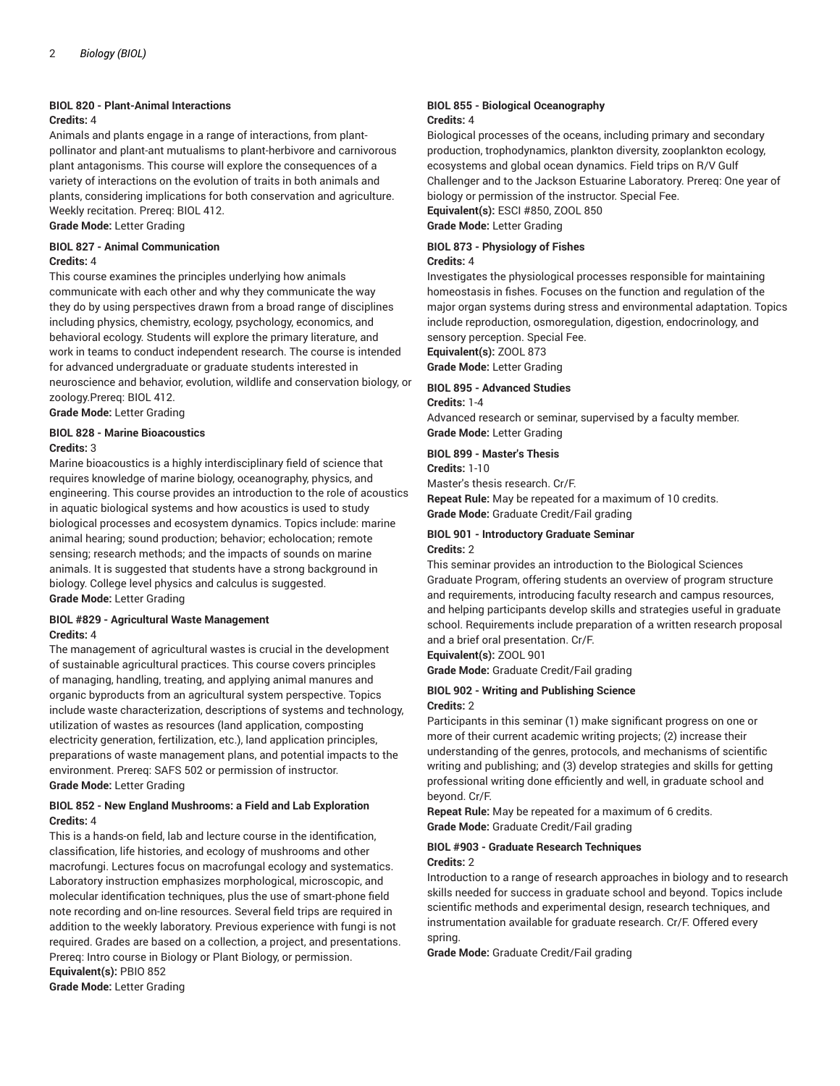## **BIOL 820 - Plant-Animal Interactions**

## **Credits:** 4

Animals and plants engage in a range of interactions, from plantpollinator and plant-ant mutualisms to plant-herbivore and carnivorous plant antagonisms. This course will explore the consequences of a variety of interactions on the evolution of traits in both animals and plants, considering implications for both conservation and agriculture. Weekly recitation. Prereq: BIOL 412.

**Grade Mode:** Letter Grading

## **BIOL 827 - Animal Communication Credits:** 4

This course examines the principles underlying how animals communicate with each other and why they communicate the way they do by using perspectives drawn from a broad range of disciplines including physics, chemistry, ecology, psychology, economics, and behavioral ecology. Students will explore the primary literature, and work in teams to conduct independent research. The course is intended for advanced undergraduate or graduate students interested in neuroscience and behavior, evolution, wildlife and conservation biology, or zoology.Prereq: BIOL 412.

**Grade Mode:** Letter Grading

#### **BIOL 828 - Marine Bioacoustics Credits:** 3

Marine bioacoustics is a highly interdisciplinary field of science that requires knowledge of marine biology, oceanography, physics, and engineering. This course provides an introduction to the role of acoustics in aquatic biological systems and how acoustics is used to study biological processes and ecosystem dynamics. Topics include: marine animal hearing; sound production; behavior; echolocation; remote sensing; research methods; and the impacts of sounds on marine animals. It is suggested that students have a strong background in biology. College level physics and calculus is suggested. **Grade Mode:** Letter Grading

## **BIOL #829 - Agricultural Waste Management Credits:** 4

The management of agricultural wastes is crucial in the development of sustainable agricultural practices. This course covers principles of managing, handling, treating, and applying animal manures and organic byproducts from an agricultural system perspective. Topics include waste characterization, descriptions of systems and technology, utilization of wastes as resources (land application, composting electricity generation, fertilization, etc.), land application principles, preparations of waste management plans, and potential impacts to the environment. Prereq: SAFS 502 or permission of instructor. **Grade Mode:** Letter Grading

## **BIOL 852 - New England Mushrooms: a Field and Lab Exploration Credits:** 4

This is a hands-on field, lab and lecture course in the identification, classification, life histories, and ecology of mushrooms and other macrofungi. Lectures focus on macrofungal ecology and systematics. Laboratory instruction emphasizes morphological, microscopic, and molecular identification techniques, plus the use of smart-phone field note recording and on-line resources. Several field trips are required in addition to the weekly laboratory. Previous experience with fungi is not required. Grades are based on a collection, a project, and presentations. Prereq: Intro course in Biology or Plant Biology, or permission. **Equivalent(s):** PBIO 852

**Grade Mode:** Letter Grading

#### **BIOL 855 - Biological Oceanography Credits:** 4

Biological processes of the oceans, including primary and secondary production, trophodynamics, plankton diversity, zooplankton ecology, ecosystems and global ocean dynamics. Field trips on R/V Gulf Challenger and to the Jackson Estuarine Laboratory. Prereq: One year of biology or permission of the instructor. Special Fee.

**Equivalent(s):** ESCI #850, ZOOL 850 **Grade Mode:** Letter Grading

## **BIOL 873 - Physiology of Fishes Credits:** 4

Investigates the physiological processes responsible for maintaining homeostasis in fishes. Focuses on the function and regulation of the major organ systems during stress and environmental adaptation. Topics include reproduction, osmoregulation, digestion, endocrinology, and sensory perception. Special Fee.

**Equivalent(s):** ZOOL 873 **Grade Mode:** Letter Grading

## **BIOL 895 - Advanced Studies**

**Credits:** 1-4

Advanced research or seminar, supervised by a faculty member. **Grade Mode:** Letter Grading

## **BIOL 899 - Master's Thesis**

**Credits:** 1-10

Master's thesis research. Cr/F.

**Repeat Rule:** May be repeated for a maximum of 10 credits. **Grade Mode:** Graduate Credit/Fail grading

#### **BIOL 901 - Introductory Graduate Seminar Credits:** 2

This seminar provides an introduction to the Biological Sciences Graduate Program, offering students an overview of program structure and requirements, introducing faculty research and campus resources, and helping participants develop skills and strategies useful in graduate school. Requirements include preparation of a written research proposal and a brief oral presentation. Cr/F.

**Equivalent(s):** ZOOL 901

**Grade Mode:** Graduate Credit/Fail grading

#### **BIOL 902 - Writing and Publishing Science Credits:** 2

Participants in this seminar (1) make significant progress on one or more of their current academic writing projects; (2) increase their understanding of the genres, protocols, and mechanisms of scientific writing and publishing; and (3) develop strategies and skills for getting professional writing done efficiently and well, in graduate school and beyond. Cr/F.

**Repeat Rule:** May be repeated for a maximum of 6 credits. **Grade Mode:** Graduate Credit/Fail grading

#### **BIOL #903 - Graduate Research Techniques Credits:** 2

Introduction to a range of research approaches in biology and to research skills needed for success in graduate school and beyond. Topics include scientific methods and experimental design, research techniques, and instrumentation available for graduate research. Cr/F. Offered every spring.

**Grade Mode:** Graduate Credit/Fail grading